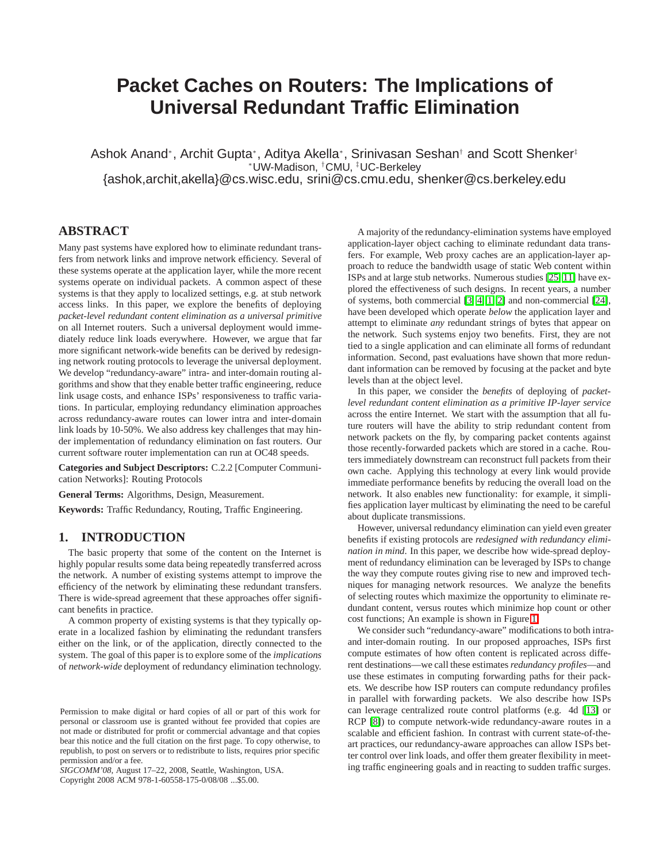# **Packet Caches on Routers: The Implications of Universal Redundant Traffic Elimination**

Ashok Anand<sup>∗</sup>, Archit Gupta<sup>∗</sup>, Aditya Akella<sup>∗</sup>, Srinivasan Seshan<sup>†</sup> and Scott Shenker<sup>‡</sup> <sup>∗</sup>UW-Madison, †CMU, ‡UC-Berkeley {ashok,archit,akella}@cs.wisc.edu, srini@cs.cmu.edu, shenker@cs.berkeley.edu

# **ABSTRACT**

Many past systems have explored how to eliminate redundant transfers from network links and improve network efficiency. Several of these systems operate at the application layer, while the more recent systems operate on individual packets. A common aspect of these systems is that they apply to localized settings, e.g. at stub network access links. In this paper, we explore the benefits of deploying *packet-level redundant content elimination as a universal primitive* on all Internet routers. Such a universal deployment would immediately reduce link loads everywhere. However, we argue that far more significant network-wide benefits can be derived by redesigning network routing protocols to leverage the universal deployment. We develop "redundancy-aware" intra- and inter-domain routing algorithms and show that they enable better traffic engineering, reduce link usage costs, and enhance ISPs' responsiveness to traffic variations. In particular, employing redundancy elimination approaches across redundancy-aware routes can lower intra and inter-domain link loads by 10-50%. We also address key challenges that may hinder implementation of redundancy elimination on fast routers. Our current software router implementation can run at OC48 speeds.

**Categories and Subject Descriptors:** C.2.2 [Computer Communication Networks]: Routing Protocols

**General Terms:** Algorithms, Design, Measurement.

**Keywords:** Traffic Redundancy, Routing, Traffic Engineering.

# **1. INTRODUCTION**

The basic property that some of the content on the Internet is highly popular results some data being repeatedly transferred across the network. A number of existing systems attempt to improve the efficiency of the network by eliminating these redundant transfers. There is wide-spread agreement that these approaches offer significant benefits in practice.

A common property of existing systems is that they typically operate in a localized fashion by eliminating the redundant transfers either on the link, or of the application, directly connected to the system. The goal of this paper is to explore some of the *implications* of *network-wide* deployment of redundancy elimination technology.

*SIGCOMM'08,* August 17–22, 2008, Seattle, Washington, USA. Copyright 2008 ACM 978-1-60558-175-0/08/08 ...\$5.00.

A majority of the redundancy-elimination systems have employed application-layer object caching to eliminate redundant data transfers. For example, Web proxy caches are an application-layer approach to reduce the bandwidth usage of static Web content within ISPs and at large stub networks. Numerous studies [\[25,](#page-11-0) [11\]](#page-11-1) have explored the effectiveness of such designs. In recent years, a number of systems, both commercial [\[3,](#page-11-2) [4,](#page-11-3) [1,](#page-11-4) [2\]](#page-11-5) and non-commercial [\[24\]](#page-11-6), have been developed which operate *below* the application layer and attempt to eliminate *any* redundant strings of bytes that appear on the network. Such systems enjoy two benefits. First, they are not tied to a single application and can eliminate all forms of redundant information. Second, past evaluations have shown that more redundant information can be removed by focusing at the packet and byte levels than at the object level.

In this paper, we consider the *benefits* of deploying of *packetlevel redundant content elimination as a primitive IP-layer service* across the entire Internet. We start with the assumption that all future routers will have the ability to strip redundant content from network packets on the fly, by comparing packet contents against those recently-forwarded packets which are stored in a cache. Routers immediately downstream can reconstruct full packets from their own cache. Applying this technology at every link would provide immediate performance benefits by reducing the overall load on the network. It also enables new functionality: for example, it simplifies application layer multicast by eliminating the need to be careful about duplicate transmissions.

However, universal redundancy elimination can yield even greater benefits if existing protocols are *redesigned with redundancy elimination in mind*. In this paper, we describe how wide-spread deployment of redundancy elimination can be leveraged by ISPs to change the way they compute routes giving rise to new and improved techniques for managing network resources. We analyze the benefits of selecting routes which maximize the opportunity to eliminate redundant content, versus routes which minimize hop count or other cost functions; An example is shown in Figure [1.](#page-1-0)

We consider such "redundancy-aware" modifications to both intraand inter-domain routing. In our proposed approaches, ISPs first compute estimates of how often content is replicated across different destinations—we call these estimates *redundancy profiles*—and use these estimates in computing forwarding paths for their packets. We describe how ISP routers can compute redundancy profiles in parallel with forwarding packets. We also describe how ISPs can leverage centralized route control platforms (e.g. 4d [\[13\]](#page-11-7) or RCP [\[8\]](#page-11-8)) to compute network-wide redundancy-aware routes in a scalable and efficient fashion. In contrast with current state-of-theart practices, our redundancy-aware approaches can allow ISPs better control over link loads, and offer them greater flexibility in meeting traffic engineering goals and in reacting to sudden traffic surges.

Permission to make digital or hard copies of all or part of this work for personal or classroom use is granted without fee provided that copies are not made or distributed for profit or commercial advantage and that copies bear this notice and the full citation on the first page. To copy otherwise, to republish, to post on servers or to redistribute to lists, requires prior specific permission and/or a fee.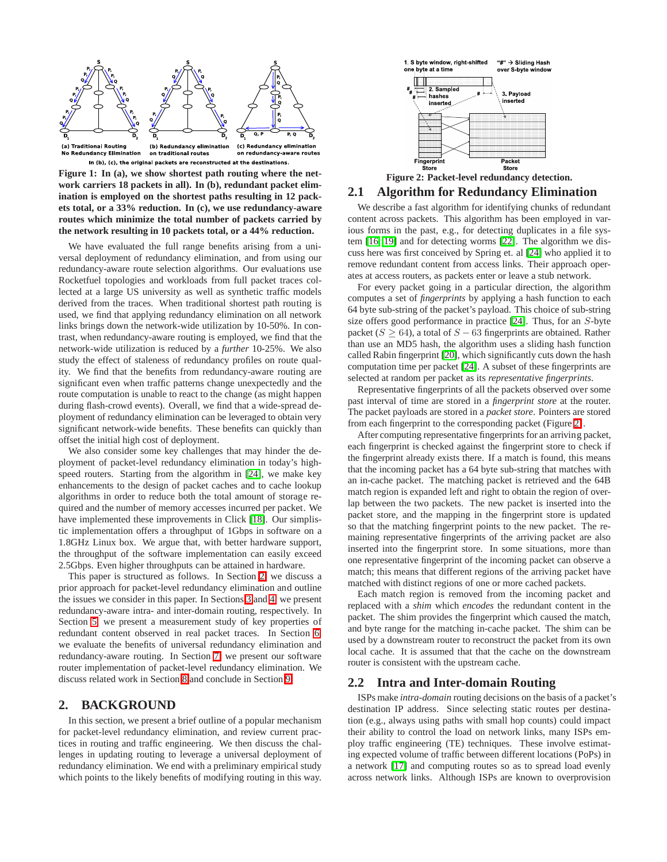

<span id="page-1-0"></span>**Figure 1: In (a), we show shortest path routing where the network carriers 18 packets in all). In (b), redundant packet elimination is employed on the shortest paths resulting in 12 packets total, or a 33% reduction. In (c), we use redundancy-aware routes which minimize the total number of packets carried by the network resulting in 10 packets total, or a 44% reduction.**

We have evaluated the full range benefits arising from a universal deployment of redundancy elimination, and from using our redundancy-aware route selection algorithms. Our evaluations use Rocketfuel topologies and workloads from full packet traces collected at a large US university as well as synthetic traffic models derived from the traces. When traditional shortest path routing is used, we find that applying redundancy elimination on all network links brings down the network-wide utilization by 10-50%. In contrast, when redundancy-aware routing is employed, we find that the network-wide utilization is reduced by a *further* 10-25%. We also study the effect of staleness of redundancy profiles on route quality. We find that the benefits from redundancy-aware routing are significant even when traffic patterns change unexpectedly and the route computation is unable to react to the change (as might happen during flash-crowd events). Overall, we find that a wide-spread deployment of redundancy elimination can be leveraged to obtain very significant network-wide benefits. These benefits can quickly than offset the initial high cost of deployment.

We also consider some key challenges that may hinder the deployment of packet-level redundancy elimination in today's highspeed routers. Starting from the algorithm in [\[24\]](#page-11-6), we make key enhancements to the design of packet caches and to cache lookup algorithms in order to reduce both the total amount of storage required and the number of memory accesses incurred per packet. We have implemented these improvements in Click [\[18\]](#page-11-9). Our simplistic implementation offers a throughput of 1Gbps in software on a 1.8GHz Linux box. We argue that, with better hardware support, the throughput of the software implementation can easily exceed 2.5Gbps. Even higher throughputs can be attained in hardware.

This paper is structured as follows. In Section [2,](#page-1-1) we discuss a prior approach for packet-level redundancy elimination and outline the issues we consider in this paper. In Sections [3](#page-2-0) and [4,](#page-4-0) we present redundancy-aware intra- and inter-domain routing, respectively. In Section [5,](#page-5-0) we present a measurement study of key properties of redundant content observed in real packet traces. In Section [6,](#page-5-1) we evaluate the benefits of universal redundancy elimination and redundancy-aware routing. In Section [7,](#page-9-0) we present our software router implementation of packet-level redundancy elimination. We discuss related work in Section [8](#page-11-10) and conclude in Section [9.](#page-11-11)

## <span id="page-1-1"></span>**2. BACKGROUND**

In this section, we present a brief outline of a popular mechanism for packet-level redundancy elimination, and review current practices in routing and traffic engineering. We then discuss the challenges in updating routing to leverage a universal deployment of redundancy elimination. We end with a preliminary empirical study which points to the likely benefits of modifying routing in this way.



**Figure 2: Packet-level redundancy detection.**

#### <span id="page-1-3"></span><span id="page-1-2"></span>**2.1 Algorithm for Redundancy Elimination**

We describe a fast algorithm for identifying chunks of redundant content across packets. This algorithm has been employed in various forms in the past, e.g., for detecting duplicates in a file system [\[16,](#page-11-12) [19\]](#page-11-13) and for detecting worms [\[22\]](#page-11-14). The algorithm we discuss here was first conceived by Spring et. al [\[24\]](#page-11-6) who applied it to remove redundant content from access links. Their approach operates at access routers, as packets enter or leave a stub network.

For every packet going in a particular direction, the algorithm computes a set of *fingerprints* by applying a hash function to each 64 byte sub-string of the packet's payload. This choice of sub-string size offers good performance in practice [\[24\]](#page-11-6). Thus, for an S-byte packet ( $S \ge 64$ ), a total of  $S - 63$  fingerprints are obtained. Rather than use an MD5 hash, the algorithm uses a sliding hash function called Rabin fingerprint [\[20\]](#page-11-15), which significantly cuts down the hash computation time per packet [\[24\]](#page-11-6). A subset of these fingerprints are selected at random per packet as its *representative fingerprints*.

Representative fingerprints of all the packets observed over some past interval of time are stored in a *fingerprint store* at the router. The packet payloads are stored in a *packet store*. Pointers are stored from each fingerprint to the corresponding packet (Figure [2\)](#page-1-2).

After computing representative fingerprints for an arriving packet, each fingerprint is checked against the fingerprint store to check if the fingerprint already exists there. If a match is found, this means that the incoming packet has a 64 byte sub-string that matches with an in-cache packet. The matching packet is retrieved and the 64B match region is expanded left and right to obtain the region of overlap between the two packets. The new packet is inserted into the packet store, and the mapping in the fingerprint store is updated so that the matching fingerprint points to the new packet. The remaining representative fingerprints of the arriving packet are also inserted into the fingerprint store. In some situations, more than one representative fingerprint of the incoming packet can observe a match; this means that different regions of the arriving packet have matched with distinct regions of one or more cached packets.

Each match region is removed from the incoming packet and replaced with a *shim* which *encodes* the redundant content in the packet. The shim provides the fingerprint which caused the match, and byte range for the matching in-cache packet. The shim can be used by a downstream router to reconstruct the packet from its own local cache. It is assumed that that the cache on the downstream router is consistent with the upstream cache.

#### **2.2 Intra and Inter-domain Routing**

ISPs make *intra-domain* routing decisions on the basis of a packet's destination IP address. Since selecting static routes per destination (e.g., always using paths with small hop counts) could impact their ability to control the load on network links, many ISPs employ traffic engineering (TE) techniques. These involve estimating expected volume of traffic between different locations (PoPs) in a network [\[17\]](#page-11-16) and computing routes so as to spread load evenly across network links. Although ISPs are known to overprovision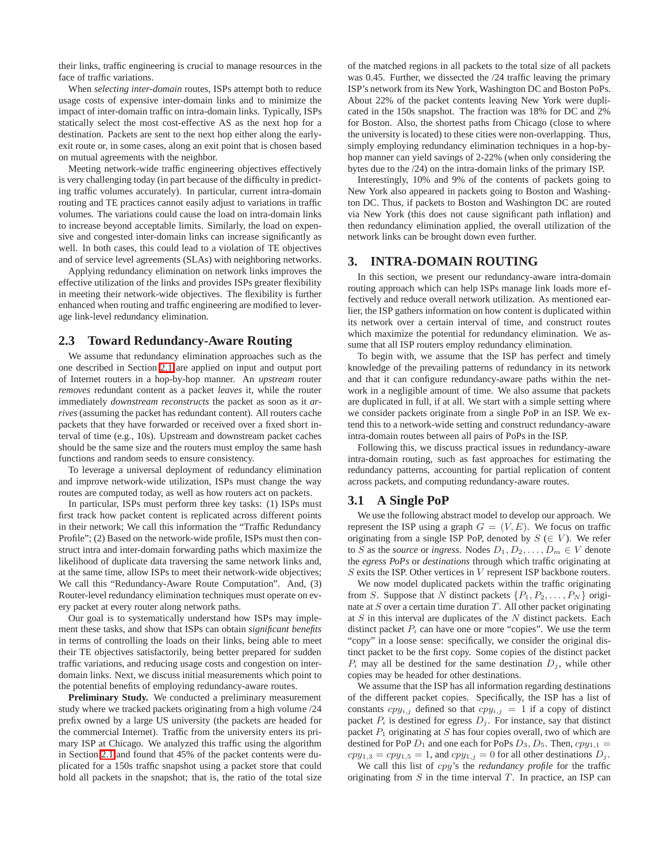their links, traffic engineering is crucial to manage resources in the face of traffic variations.

When *selecting inter-domain* routes, ISPs attempt both to reduce usage costs of expensive inter-domain links and to minimize the impact of inter-domain traffic on intra-domain links. Typically, ISPs statically select the most cost-effective AS as the next hop for a destination. Packets are sent to the next hop either along the earlyexit route or, in some cases, along an exit point that is chosen based on mutual agreements with the neighbor.

Meeting network-wide traffic engineering objectives effectively is very challenging today (in part because of the difficulty in predicting traffic volumes accurately). In particular, current intra-domain routing and TE practices cannot easily adjust to variations in traffic volumes. The variations could cause the load on intra-domain links to increase beyond acceptable limits. Similarly, the load on expensive and congested inter-domain links can increase significantly as well. In both cases, this could lead to a violation of TE objectives and of service level agreements (SLAs) with neighboring networks.

Applying redundancy elimination on network links improves the effective utilization of the links and provides ISPs greater flexibility in meeting their network-wide objectives. The flexibility is further enhanced when routing and traffic engineering are modified to leverage link-level redundancy elimination.

## **2.3 Toward Redundancy-Aware Routing**

We assume that redundancy elimination approaches such as the one described in Section [2.1](#page-1-3) are applied on input and output port of Internet routers in a hop-by-hop manner. An *upstream* router *removes* redundant content as a packet *leaves* it, while the router immediately *downstream reconstructs* the packet as soon as it *arrives* (assuming the packet has redundant content). All routers cache packets that they have forwarded or received over a fixed short interval of time (e.g., 10s). Upstream and downstream packet caches should be the same size and the routers must employ the same hash functions and random seeds to ensure consistency.

To leverage a universal deployment of redundancy elimination and improve network-wide utilization, ISPs must change the way routes are computed today, as well as how routers act on packets.

In particular, ISPs must perform three key tasks: (1) ISPs must first track how packet content is replicated across different points in their network; We call this information the "Traffic Redundancy Profile"; (2) Based on the network-wide profile, ISPs must then construct intra and inter-domain forwarding paths which maximize the likelihood of duplicate data traversing the same network links and, at the same time, allow ISPs to meet their network-wide objectives; We call this "Redundancy-Aware Route Computation". And, (3) Router-level redundancy elimination techniques must operate on every packet at every router along network paths.

Our goal is to systematically understand how ISPs may implement these tasks, and show that ISPs can obtain *significant benefits* in terms of controlling the loads on their links, being able to meet their TE objectives satisfactorily, being better prepared for sudden traffic variations, and reducing usage costs and congestion on interdomain links. Next, we discuss initial measurements which point to the potential benefits of employing redundancy-aware routes.

**Preliminary Study.** We conducted a preliminary measurement study where we tracked packets originating from a high volume /24 prefix owned by a large US university (the packets are headed for the commercial Internet). Traffic from the university enters its primary ISP at Chicago. We analyzed this traffic using the algorithm in Section [2.1](#page-1-3) and found that 45% of the packet contents were duplicated for a 150s traffic snapshot using a packet store that could hold all packets in the snapshot; that is, the ratio of the total size of the matched regions in all packets to the total size of all packets was 0.45. Further, we dissected the /24 traffic leaving the primary ISP's network from its New York, Washington DC and Boston PoPs. About 22% of the packet contents leaving New York were duplicated in the 150s snapshot. The fraction was 18% for DC and 2% for Boston. Also, the shortest paths from Chicago (close to where the university is located) to these cities were non-overlapping. Thus, simply employing redundancy elimination techniques in a hop-byhop manner can yield savings of 2-22% (when only considering the bytes due to the /24) on the intra-domain links of the primary ISP.

Interestingly, 10% and 9% of the contents of packets going to New York also appeared in packets going to Boston and Washington DC. Thus, if packets to Boston and Washington DC are routed via New York (this does not cause significant path inflation) and then redundancy elimination applied, the overall utilization of the network links can be brought down even further.

## <span id="page-2-0"></span>**3. INTRA-DOMAIN ROUTING**

In this section, we present our redundancy-aware intra-domain routing approach which can help ISPs manage link loads more effectively and reduce overall network utilization. As mentioned earlier, the ISP gathers information on how content is duplicated within its network over a certain interval of time, and construct routes which maximize the potential for redundancy elimination. We assume that all ISP routers employ redundancy elimination.

To begin with, we assume that the ISP has perfect and timely knowledge of the prevailing patterns of redundancy in its network and that it can configure redundancy-aware paths within the network in a negligible amount of time. We also assume that packets are duplicated in full, if at all. We start with a simple setting where we consider packets originate from a single PoP in an ISP. We extend this to a network-wide setting and construct redundancy-aware intra-domain routes between all pairs of PoPs in the ISP.

Following this, we discuss practical issues in redundancy-aware intra-domain routing, such as fast approaches for estimating the redundancy patterns, accounting for partial replication of content across packets, and computing redundancy-aware routes.

## <span id="page-2-1"></span>**3.1 A Single PoP**

We use the following abstract model to develop our approach. We represent the ISP using a graph  $G = (V, E)$ . We focus on traffic originating from a single ISP PoP, denoted by  $S \in V$ ). We refer to S as the *source* or *ingress*. Nodes  $D_1, D_2, \ldots, D_m \in V$  denote the *egress PoPs* or *destinations* through which traffic originating at S exits the ISP. Other vertices in V represent ISP backbone routers.

We now model duplicated packets within the traffic originating from S. Suppose that N distinct packets  $\{P_1, P_2, \ldots, P_N\}$  originate at  $S$  over a certain time duration  $T$ . All other packet originating at  $S$  in this interval are duplicates of the  $N$  distinct packets. Each distinct packet  $P_i$  can have one or more "copies". We use the term "copy" in a loose sense: specifically, we consider the original distinct packet to be the first copy. Some copies of the distinct packet  $P_i$  may all be destined for the same destination  $D_i$ , while other copies may be headed for other destinations.

We assume that the ISP has all information regarding destinations of the different packet copies. Specifically, the ISP has a list of constants  $cpy_{i,j}$  defined so that  $cpy_{i,j} = 1$  if a copy of distinct packet  $P_i$  is destined for egress  $D_i$ . For instance, say that distinct packet  $P_1$  originating at S has four copies overall, two of which are destined for PoP  $D_1$  and one each for PoPs  $D_3, D_5$ . Then,  $cpy_{1,1} =$  $cpy_{1,3} = cpy_{1,5} = 1$ , and  $cpy_{1,j} = 0$  for all other destinations  $D_j$ .

We call this list of cpy's the *redundancy profile* for the traffic originating from  $S$  in the time interval  $T$ . In practice, an ISP can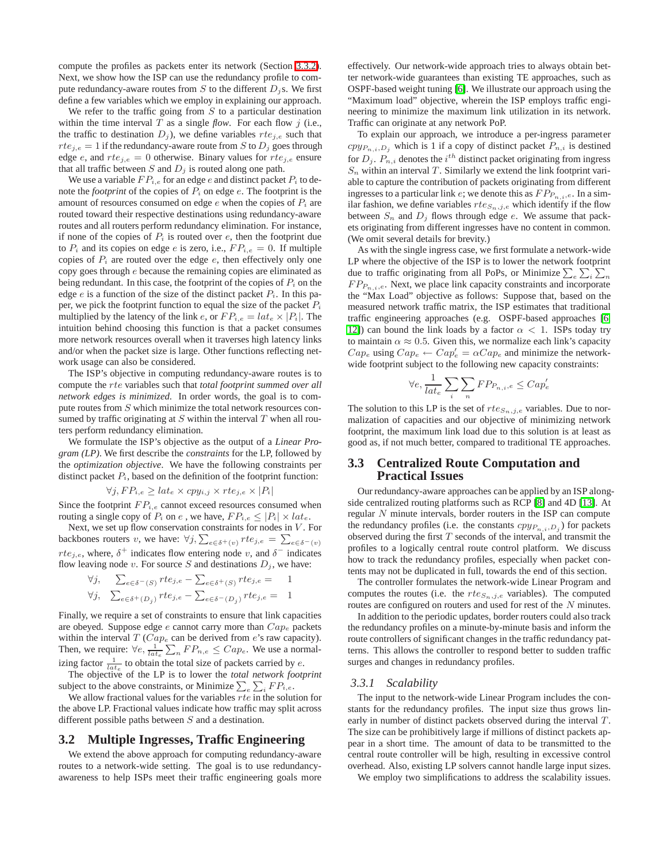compute the profiles as packets enter its network (Section [3.3.2\)](#page-4-1). Next, we show how the ISP can use the redundancy profile to compute redundancy-aware routes from  $S$  to the different  $D_i$ s. We first define a few variables which we employ in explaining our approach.

We refer to the traffic going from  $S$  to a particular destination within the time interval  $T$  as a single *flow*. For each flow  $j$  (i.e., the traffic to destination  $D_i$ ), we define variables  $rte_{i,e}$  such that  $rte_{j,e} = 1$  if the redundancy-aware route from S to  $D_j$  goes through edge e, and  $rte_{i,e} = 0$  otherwise. Binary values for  $rte_{i,e}$  ensure that all traffic between  $S$  and  $D_i$  is routed along one path.

We use a variable  $FP_{i,e}$  for an edge e and distinct packet  $P_i$  to denote the *footprint* of the copies of  $P_i$  on edge  $e$ . The footprint is the amount of resources consumed on edge  $e$  when the copies of  $P_i$  are routed toward their respective destinations using redundancy-aware routes and all routers perform redundancy elimination. For instance, if none of the copies of  $P_i$  is routed over  $e$ , then the footprint due to  $P_i$  and its copies on edge e is zero, i.e.,  $FP_{i,e} = 0$ . If multiple copies of  $P_i$  are routed over the edge  $e$ , then effectively only one copy goes through e because the remaining copies are eliminated as being redundant. In this case, the footprint of the copies of  $P_i$  on the edge e is a function of the size of the distinct packet  $P_i$ . In this paper, we pick the footprint function to equal the size of the packet  $P_i$ multiplied by the latency of the link e, or  $FP_{i,e} = \text{lat}_e \times |P_i|$ . The intuition behind choosing this function is that a packet consumes more network resources overall when it traverses high latency links and/or when the packet size is large. Other functions reflecting network usage can also be considered.

The ISP's objective in computing redundancy-aware routes is to compute the rte variables such that *total footprint summed over all network edges is minimized*. In order words, the goal is to compute routes from S which minimize the total network resources consumed by traffic originating at  $S$  within the interval  $T$  when all routers perform redundancy elimination.

We formulate the ISP's objective as the output of a *Linear Program (LP)*. We first describe the *constraints* for the LP, followed by the *optimization objective*. We have the following constraints per distinct packet  $P_i$ , based on the definition of the footprint function:

$$
\forall j, FP_{i,e} \geq late \times cpy_{i,j} \times rte_{j,e} \times |P_i|
$$

Since the footprint  $FP_{i,e}$  cannot exceed resources consumed when routing a single copy of  $P_i$  on e, we have,  $FP_{i,e} \leq |P_i| \times lat_e$ .

Next, we set up flow conservation constraints for nodes in  $V$ . For backbones routers v, we have:  $\forall j, \sum_{e \in \delta^+(v)} r t e_{j,e} = \sum_{e \in \delta^-(v)}$ *rte<sub>j,e</sub>*, where,  $\delta^+$  indicates flow entering node v, and  $\delta^-$  indicates flow leaving node v. For source S and destinations  $D_j$ , we have:

$$
\forall j, \quad \sum_{e \in \delta^-(S)} rte_{j,e} - \sum_{e \in \delta^+(S)} rte_{j,e} = 1
$$
  

$$
\forall j, \quad \sum_{e \in \delta^+(D_j)} rte_{j,e} - \sum_{e \in \delta^-(D_j)} rte_{j,e} = 1
$$

Finally, we require a set of constraints to ensure that link capacities are obeyed. Suppose edge  $e$  cannot carry more than  $Cap_e$  packets within the interval  $T (Cap_e$  can be derived from e's raw capacity). Then, we require:  $\forall e, \frac{1}{\ln t_e} \sum_n FP_{n,e} \leq Cap_e$ . We use a normalizing factor  $\frac{1}{\ln t_e}$  to obtain the total size of packets carried by *e*.

The objective of the LP is to lower the *total network footprint* subject to the above constraints, or Minimize  $\sum_{e} \sum_{i} FP_{i,e}$ .

We allow fractional values for the variables  $rte$  in the solution for the above LP. Fractional values indicate how traffic may split across different possible paths between S and a destination.

## **3.2 Multiple Ingresses, Traffic Engineering**

We extend the above approach for computing redundancy-aware routes to a network-wide setting. The goal is to use redundancyawareness to help ISPs meet their traffic engineering goals more effectively. Our network-wide approach tries to always obtain better network-wide guarantees than existing TE approaches, such as OSPF-based weight tuning [\[6\]](#page-11-17). We illustrate our approach using the "Maximum load" objective, wherein the ISP employs traffic engineering to minimize the maximum link utilization in its network. Traffic can originate at any network PoP.

To explain our approach, we introduce a per-ingress parameter  $cpy_{P_{n,i},D_j}$  which is 1 if a copy of distinct packet  $P_{n,i}$  is destined for  $D_j$ .  $P_{n,i}$  denotes the  $i^{th}$  distinct packet originating from ingress  $S_n$  within an interval T. Similarly we extend the link footprint variable to capture the contribution of packets originating from different ingresses to a particular link e; we denote this as  $FP_{P_{n,i},e}$ . In a similar fashion, we define variables  $rte_{S_n,j,e}$  which identify if the flow between  $S_n$  and  $D_j$  flows through edge e. We assume that packets originating from different ingresses have no content in common. (We omit several details for brevity.)

As with the single ingress case, we first formulate a network-wide LP where the objective of the ISP is to lower the network footprint due to traffic originating from all PoPs, or Minimize  $\sum_{e} \sum_{i} \sum_{n}$  $FP_{P_{n,i},e}$ . Next, we place link capacity constraints and incorporate the "Max Load" objective as follows: Suppose that, based on the measured network traffic matrix, the ISP estimates that traditional traffic engineering approaches (e.g. OSPF-based approaches [\[6,](#page-11-17) [12\]](#page-11-18)) can bound the link loads by a factor  $\alpha < 1$ . ISPs today try to maintain  $\alpha \approx 0.5$ . Given this, we normalize each link's capacity  $Cap_e$  using  $Cap_e \leftarrow Cap'_e = \alpha Cap_e$  and minimize the networkwide footprint subject to the following new capacity constraints:

$$
\forall e, \frac{1}{lat_e} \sum_i \sum_n FP_{P_{n,i,e}} \leq Cap'_e
$$

The solution to this LP is the set of  $rte_{S_n,j,e}$  variables. Due to normalization of capacities and our objective of minimizing network footprint, the maximum link load due to this solution is at least as good as, if not much better, compared to traditional TE approaches.

# **3.3 Centralized Route Computation and Practical Issues**

Our redundancy-aware approaches can be applied by an ISP alongside centralized routing platforms such as RCP [\[8\]](#page-11-8) and 4D [\[13\]](#page-11-7). At regular N minute intervals, border routers in the ISP can compute the redundancy profiles (i.e. the constants  $cpy_{P_{n,i},D_j}$ ) for packets observed during the first  $T$  seconds of the interval, and transmit the profiles to a logically central route control platform. We discuss how to track the redundancy profiles, especially when packet contents may not be duplicated in full, towards the end of this section.

The controller formulates the network-wide Linear Program and computes the routes (i.e. the  $rte_{S_n,j,e}$  variables). The computed routes are configured on routers and used for rest of the N minutes.

In addition to the periodic updates, border routers could also track the redundancy profiles on a minute-by-minute basis and inform the route controllers of significant changes in the traffic redundancy patterns. This allows the controller to respond better to sudden traffic surges and changes in redundancy profiles.

#### *3.3.1 Scalability*

The input to the network-wide Linear Program includes the constants for the redundancy profiles. The input size thus grows linearly in number of distinct packets observed during the interval T. The size can be prohibitively large if millions of distinct packets appear in a short time. The amount of data to be transmitted to the central route controller will be high, resulting in excessive control overhead. Also, existing LP solvers cannot handle large input sizes.

We employ two simplifications to address the scalability issues.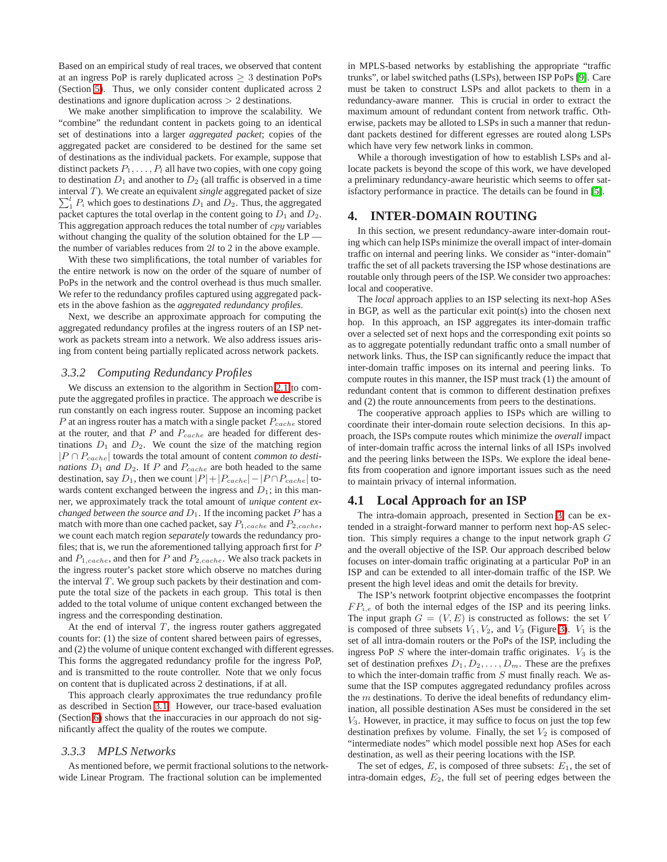Based on an empirical study of real traces, we observed that content at an ingress PoP is rarely duplicated across ≥ 3 destination PoPs (Section [5\)](#page-5-0). Thus, we only consider content duplicated across 2 destinations and ignore duplication across > 2 destinations.

We make another simplification to improve the scalability. We "combine" the redundant content in packets going to an identical set of destinations into a larger *aggregated packet*; copies of the aggregated packet are considered to be destined for the same set of destinations as the individual packets. For example, suppose that distinct packets  $P_1, \ldots, P_l$  all have two copies, with one copy going to destination  $D_1$  and another to  $D_2$  (all traffic is observed in a time  $\sum_{1}^{l} P_i$  which goes to destinations  $D_1$  and  $D_2$ . Thus, the aggregated interval T). We create an equivalent *single* aggregated packet of size packet captures the total overlap in the content going to  $D_1$  and  $D_2$ . This aggregation approach reduces the total number of *cpy* variables without changing the quality of the solution obtained for the LP the number of variables reduces from 2l to 2 in the above example.

With these two simplifications, the total number of variables for the entire network is now on the order of the square of number of PoPs in the network and the control overhead is thus much smaller. We refer to the redundancy profiles captured using aggregated packets in the above fashion as the *aggregated redundancy profiles*.

Next, we describe an approximate approach for computing the aggregated redundancy profiles at the ingress routers of an ISP network as packets stream into a network. We also address issues arising from content being partially replicated across network packets.

#### <span id="page-4-1"></span>*3.3.2 Computing Redundancy Profiles*

We discuss an extension to the algorithm in Section [2.1](#page-1-3) to compute the aggregated profiles in practice. The approach we describe is run constantly on each ingress router. Suppose an incoming packet P at an ingress router has a match with a single packet  $P_{cache}$  stored at the router, and that P and  $P_{cache}$  are headed for different destinations  $D_1$  and  $D_2$ . We count the size of the matching region |P ∩ Pcache| towards the total amount of content *common to destinations*  $D_1$  *and*  $D_2$ . If P and  $P_{cache}$  are both headed to the same destination, say  $D_1$ , then we count  $|P|+|P_{cache}|-|P \cap P_{cache}|$  towards content exchanged between the ingress and  $D_1$ ; in this manner, we approximately track the total amount of *unique content exchanged between the source and*  $D_1$ . If the incoming packet  $P$  has a match with more than one cached packet, say  $P_{1,cache}$  and  $P_{2,cache}$ , we count each match region *separately* towards the redundancy profiles; that is, we run the aforementioned tallying approach first for  $P$ and  $P_{1,cache}$ , and then for  $P$  and  $P_{2,cache}$ . We also track packets in the ingress router's packet store which observe no matches during the interval  $T$ . We group such packets by their destination and compute the total size of the packets in each group. This total is then added to the total volume of unique content exchanged between the ingress and the corresponding destination.

At the end of interval  $T$ , the ingress router gathers aggregated counts for: (1) the size of content shared between pairs of egresses, and (2) the volume of unique content exchanged with different egresses. This forms the aggregated redundancy profile for the ingress PoP, and is transmitted to the route controller. Note that we only focus on content that is duplicated across 2 destinations, if at all.

This approach clearly approximates the true redundancy profile as described in Section [3.1.](#page-2-1) However, our trace-based evaluation (Section [6\)](#page-5-1) shows that the inaccuracies in our approach do not significantly affect the quality of the routes we compute.

#### *3.3.3 MPLS Networks*

As mentioned before, we permit fractional solutions to the networkwide Linear Program. The fractional solution can be implemented

in MPLS-based networks by establishing the appropriate "traffic trunks", or label switched paths (LSPs), between ISP PoPs [\[9\]](#page-11-19). Care must be taken to construct LSPs and allot packets to them in a redundancy-aware manner. This is crucial in order to extract the maximum amount of redundant content from network traffic. Otherwise, packets may be alloted to LSPs in such a manner that redundant packets destined for different egresses are routed along LSPs which have very few network links in common.

While a thorough investigation of how to establish LSPs and allocate packets is beyond the scope of this work, we have developed a preliminary redundancy-aware heuristic which seems to offer satisfactory performance in practice. The details can be found in [\[5\]](#page-11-20).

# <span id="page-4-0"></span>**4. INTER-DOMAIN ROUTING**

In this section, we present redundancy-aware inter-domain routing which can help ISPs minimize the overall impact of inter-domain traffic on internal and peering links. We consider as "inter-domain" traffic the set of all packets traversing the ISP whose destinations are routable only through peers of the ISP. We consider two approaches: local and cooperative.

The *local* approach applies to an ISP selecting its next-hop ASes in BGP, as well as the particular exit point(s) into the chosen next hop. In this approach, an ISP aggregates its inter-domain traffic over a selected set of next hops and the corresponding exit points so as to aggregate potentially redundant traffic onto a small number of network links. Thus, the ISP can significantly reduce the impact that inter-domain traffic imposes on its internal and peering links. To compute routes in this manner, the ISP must track (1) the amount of redundant content that is common to different destination prefixes and (2) the route announcements from peers to the destinations.

The cooperative approach applies to ISPs which are willing to coordinate their inter-domain route selection decisions. In this approach, the ISPs compute routes which minimize the *overall* impact of inter-domain traffic across the internal links of all ISPs involved and the peering links between the ISPs. We explore the ideal benefits from cooperation and ignore important issues such as the need to maintain privacy of internal information.

#### <span id="page-4-2"></span>**4.1 Local Approach for an ISP**

The intra-domain approach, presented in Section [3,](#page-2-0) can be extended in a straight-forward manner to perform next hop-AS selection. This simply requires a change to the input network graph G and the overall objective of the ISP. Our approach described below focuses on inter-domain traffic originating at a particular PoP in an ISP and can be extended to all inter-domain traffic of the ISP. We present the high level ideas and omit the details for brevity.

The ISP's network footprint objective encompasses the footprint  $FP_{i,e}$  of both the internal edges of the ISP and its peering links. The input graph  $G = (V, E)$  is constructed as follows: the set V is composed of three subsets  $V_1, V_2$ , and  $V_3$  (Figure [3\)](#page-5-2).  $V_1$  is the set of all intra-domain routers or the PoPs of the ISP, including the ingress PoP  $S$  where the inter-domain traffic originates.  $V_3$  is the set of destination prefixes  $D_1, D_2, \ldots, D_m$ . These are the prefixes to which the inter-domain traffic from S must finally reach. We assume that the ISP computes aggregated redundancy profiles across the  $m$  destinations. To derive the ideal benefits of redundancy elimination, all possible destination ASes must be considered in the set  $V_3$ . However, in practice, it may suffice to focus on just the top few destination prefixes by volume. Finally, the set  $V_2$  is composed of "intermediate nodes" which model possible next hop ASes for each destination, as well as their peering locations with the ISP.

The set of edges,  $E$ , is composed of three subsets:  $E_1$ , the set of intra-domain edges,  $E_2$ , the full set of peering edges between the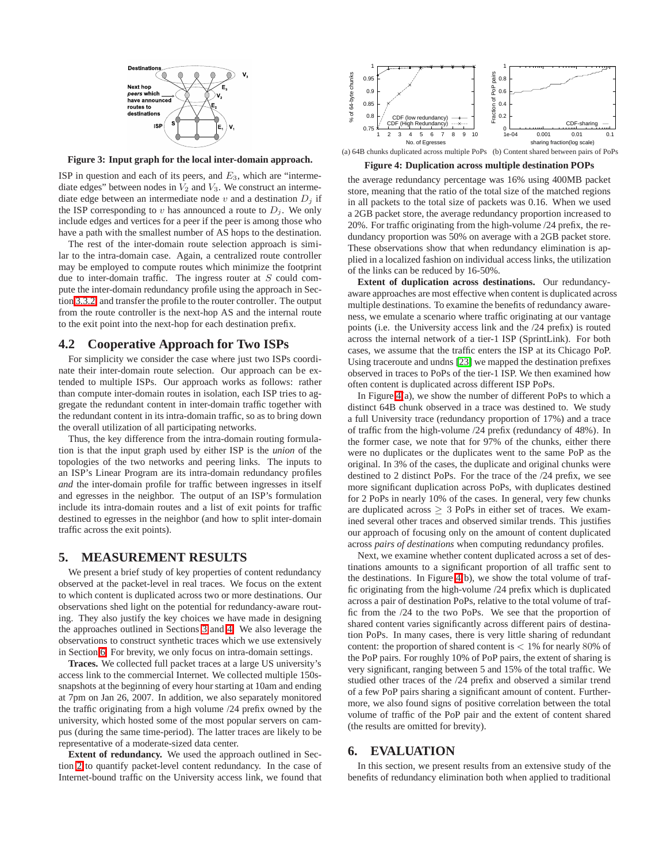

**Figure 3: Input graph for the local inter-domain approach.**

<span id="page-5-2"></span>ISP in question and each of its peers, and  $E_3$ , which are "intermediate edges" between nodes in  $V_2$  and  $V_3$ . We construct an intermediate edge between an intermediate node v and a destination  $D_i$  if the ISP corresponding to  $v$  has announced a route to  $D_j$ . We only include edges and vertices for a peer if the peer is among those who have a path with the smallest number of AS hops to the destination.

The rest of the inter-domain route selection approach is similar to the intra-domain case. Again, a centralized route controller may be employed to compute routes which minimize the footprint due to inter-domain traffic. The ingress router at  $S$  could compute the inter-domain redundancy profile using the approach in Section [3.3.2,](#page-4-1) and transfer the profile to the router controller. The output from the route controller is the next-hop AS and the internal route to the exit point into the next-hop for each destination prefix.

#### <span id="page-5-4"></span>**4.2 Cooperative Approach for Two ISPs**

For simplicity we consider the case where just two ISPs coordinate their inter-domain route selection. Our approach can be extended to multiple ISPs. Our approach works as follows: rather than compute inter-domain routes in isolation, each ISP tries to aggregate the redundant content in inter-domain traffic together with the redundant content in its intra-domain traffic, so as to bring down the overall utilization of all participating networks.

Thus, the key difference from the intra-domain routing formulation is that the input graph used by either ISP is the *union* of the topologies of the two networks and peering links. The inputs to an ISP's Linear Program are its intra-domain redundancy profiles *and* the inter-domain profile for traffic between ingresses in itself and egresses in the neighbor. The output of an ISP's formulation include its intra-domain routes and a list of exit points for traffic destined to egresses in the neighbor (and how to split inter-domain traffic across the exit points).

# <span id="page-5-0"></span>**5. MEASUREMENT RESULTS**

We present a brief study of key properties of content redundancy observed at the packet-level in real traces. We focus on the extent to which content is duplicated across two or more destinations. Our observations shed light on the potential for redundancy-aware routing. They also justify the key choices we have made in designing the approaches outlined in Sections [3](#page-2-0) and [4.](#page-4-0) We also leverage the observations to construct synthetic traces which we use extensively in Section [6.](#page-5-1) For brevity, we only focus on intra-domain settings.

**Traces.** We collected full packet traces at a large US university's access link to the commercial Internet. We collected multiple 150ssnapshots at the beginning of every hour starting at 10am and ending at 7pm on Jan 26, 2007. In addition, we also separately monitored the traffic originating from a high volume /24 prefix owned by the university, which hosted some of the most popular servers on campus (during the same time-period). The latter traces are likely to be representative of a moderate-sized data center.

**Extent of redundancy.** We used the approach outlined in Section [2](#page-1-1) to quantify packet-level content redundancy. In the case of Internet-bound traffic on the University access link, we found that



<span id="page-5-3"></span>(a) 64B chunks duplicated across multiple PoPs (b) Content shared between pairs of PoPs

#### **Figure 4: Duplication across multiple destination POPs**

the average redundancy percentage was 16% using 400MB packet store, meaning that the ratio of the total size of the matched regions in all packets to the total size of packets was 0.16. When we used a 2GB packet store, the average redundancy proportion increased to 20%. For traffic originating from the high-volume /24 prefix, the redundancy proportion was 50% on average with a 2GB packet store. These observations show that when redundancy elimination is applied in a localized fashion on individual access links, the utilization of the links can be reduced by 16-50%.

**Extent of duplication across destinations.** Our redundancyaware approaches are most effective when content is duplicated across multiple destinations. To examine the benefits of redundancy awareness, we emulate a scenario where traffic originating at our vantage points (i.e. the University access link and the /24 prefix) is routed across the internal network of a tier-1 ISP (SprintLink). For both cases, we assume that the traffic enters the ISP at its Chicago PoP. Using traceroute and undns [\[23\]](#page-11-21) we mapped the destination prefixes observed in traces to PoPs of the tier-1 ISP. We then examined how often content is duplicated across different ISP PoPs.

In Figure [4\(](#page-5-3)a), we show the number of different PoPs to which a distinct 64B chunk observed in a trace was destined to. We study a full University trace (redundancy proportion of 17%) and a trace of traffic from the high-volume /24 prefix (redundancy of 48%). In the former case, we note that for 97% of the chunks, either there were no duplicates or the duplicates went to the same PoP as the original. In 3% of the cases, the duplicate and original chunks were destined to 2 distinct PoPs. For the trace of the /24 prefix, we see more significant duplication across PoPs, with duplicates destined for 2 PoPs in nearly 10% of the cases. In general, very few chunks are duplicated across  $\geq$  3 PoPs in either set of traces. We examined several other traces and observed similar trends. This justifies our approach of focusing only on the amount of content duplicated across *pairs of destinations* when computing redundancy profiles.

Next, we examine whether content duplicated across a set of destinations amounts to a significant proportion of all traffic sent to the destinations. In Figure [4\(](#page-5-3)b), we show the total volume of traffic originating from the high-volume /24 prefix which is duplicated across a pair of destination PoPs, relative to the total volume of traffic from the /24 to the two PoPs. We see that the proportion of shared content varies significantly across different pairs of destination PoPs. In many cases, there is very little sharing of redundant content: the proportion of shared content is  $< 1\%$  for nearly 80% of the PoP pairs. For roughly 10% of PoP pairs, the extent of sharing is very significant, ranging between 5 and 15% of the total traffic. We studied other traces of the /24 prefix and observed a similar trend of a few PoP pairs sharing a significant amount of content. Furthermore, we also found signs of positive correlation between the total volume of traffic of the PoP pair and the extent of content shared (the results are omitted for brevity).

## <span id="page-5-1"></span>**6. EVALUATION**

In this section, we present results from an extensive study of the benefits of redundancy elimination both when applied to traditional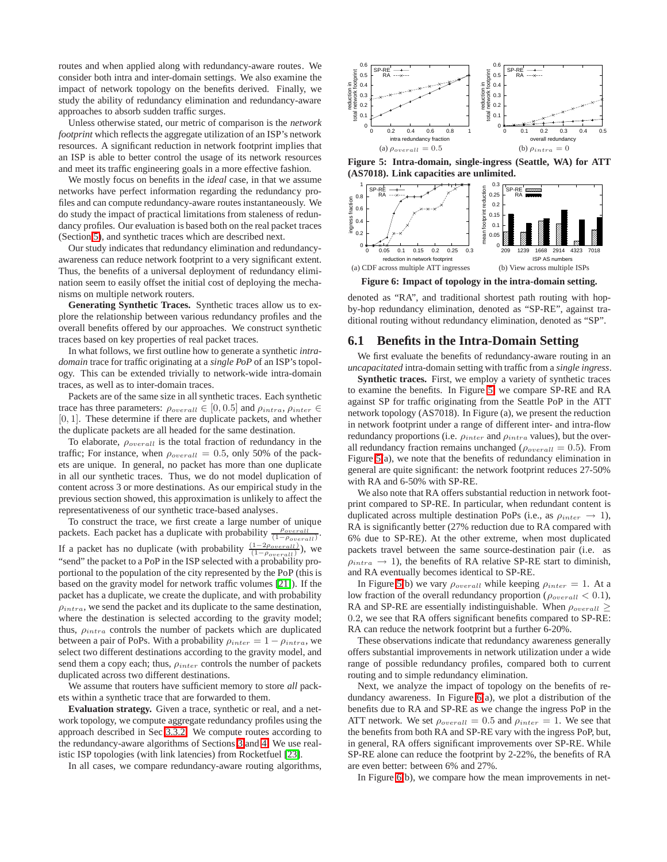routes and when applied along with redundancy-aware routes. We consider both intra and inter-domain settings. We also examine the impact of network topology on the benefits derived. Finally, we study the ability of redundancy elimination and redundancy-aware approaches to absorb sudden traffic surges.

Unless otherwise stated, our metric of comparison is the *network footprint* which reflects the aggregate utilization of an ISP's network resources. A significant reduction in network footprint implies that an ISP is able to better control the usage of its network resources and meet its traffic engineering goals in a more effective fashion.

We mostly focus on benefits in the *ideal* case, in that we assume networks have perfect information regarding the redundancy profiles and can compute redundancy-aware routes instantaneously. We do study the impact of practical limitations from staleness of redundancy profiles. Our evaluation is based both on the real packet traces (Section [5\)](#page-5-0), and synthetic traces which are described next.

Our study indicates that redundancy elimination and redundancyawareness can reduce network footprint to a very significant extent. Thus, the benefits of a universal deployment of redundancy elimination seem to easily offset the initial cost of deploying the mechanisms on multiple network routers.

**Generating Synthetic Traces.** Synthetic traces allow us to explore the relationship between various redundancy profiles and the overall benefits offered by our approaches. We construct synthetic traces based on key properties of real packet traces.

In what follows, we first outline how to generate a synthetic *intradomain* trace for traffic originating at a *single PoP* of an ISP's topology. This can be extended trivially to network-wide intra-domain traces, as well as to inter-domain traces.

Packets are of the same size in all synthetic traces. Each synthetic trace has three parameters:  $\rho_{overall} \in [0, 0.5]$  and  $\rho_{intra}, \rho_{inter} \in$ [0, 1]. These determine if there are duplicate packets, and whether the duplicate packets are all headed for the same destination.

To elaborate,  $\rho_{overall}$  is the total fraction of redundancy in the traffic; For instance, when  $\rho_{overall} = 0.5$ , only 50% of the packets are unique. In general, no packet has more than one duplicate in all our synthetic traces. Thus, we do not model duplication of content across 3 or more destinations. As our empirical study in the previous section showed, this approximation is unlikely to affect the representativeness of our synthetic trace-based analyses.

To construct the trace, we first create a large number of unique packets. Each packet has a duplicate with probability  $\frac{\rho_{overall}}{(1-\rho_{overall})}$ . If a packet has no duplicate (with probability  $\frac{(1-2\rho_{overall})}{(1-\rho_{overall})}$ ), we "send" the packet to a PoP in the ISP selected with a probability proportional to the population of the city represented by the PoP (this is based on the gravity model for network traffic volumes [\[21\]](#page-11-22)). If the packet has a duplicate, we create the duplicate, and with probability  $\rho_{intra}$ , we send the packet and its duplicate to the same destination, where the destination is selected according to the gravity model; thus,  $\rho_{intra}$  controls the number of packets which are duplicated between a pair of PoPs. With a probability  $\rho_{inter} = 1 - \rho_{intra}$ , we select two different destinations according to the gravity model, and send them a copy each; thus,  $\rho_{inter}$  controls the number of packets duplicated across two different destinations.

We assume that routers have sufficient memory to store *all* packets within a synthetic trace that are forwarded to them.

**Evaluation strategy.** Given a trace, synthetic or real, and a network topology, we compute aggregate redundancy profiles using the approach described in Sec [3.3.2.](#page-4-1) We compute routes according to the redundancy-aware algorithms of Sections [3](#page-2-0) and [4.](#page-4-0) We use realistic ISP topologies (with link latencies) from Rocketfuel [\[23\]](#page-11-21).

In all cases, we compare redundancy-aware routing algorithms,



<span id="page-6-0"></span>**Figure 5: Intra-domain, single-ingress (Seattle, WA) for ATT (AS7018). Link capacities are unlimited.**



**Figure 6: Impact of topology in the intra-domain setting.**

<span id="page-6-1"></span>denoted as "RA", and traditional shortest path routing with hopby-hop redundancy elimination, denoted as "SP-RE", against traditional routing without redundancy elimination, denoted as "SP".

#### **6.1 Benefits in the Intra-Domain Setting**

We first evaluate the benefits of redundancy-aware routing in an *uncapacitated* intra-domain setting with traffic from a *single ingress*.

**Synthetic traces.** First, we employ a variety of synthetic traces to examine the benefits. In Figure [5,](#page-6-0) we compare SP-RE and RA against SP for traffic originating from the Seattle PoP in the ATT network topology (AS7018). In Figure (a), we present the reduction in network footprint under a range of different inter- and intra-flow redundancy proportions (i.e.  $\rho_{inter}$  and  $\rho_{intra}$  values), but the overall redundancy fraction remains unchanged ( $\rho_{overall} = 0.5$ ). From Figure [5\(](#page-6-0)a), we note that the benefits of redundancy elimination in general are quite significant: the network footprint reduces 27-50% with RA and 6-50% with SP-RE.

We also note that RA offers substantial reduction in network footprint compared to SP-RE. In particular, when redundant content is duplicated across multiple destination PoPs (i.e., as  $\rho_{inter} \rightarrow 1$ ), RA is significantly better (27% reduction due to RA compared with 6% due to SP-RE). At the other extreme, when most duplicated packets travel between the same source-destination pair (i.e. as  $\rho_{intra} \rightarrow 1$ ), the benefits of RA relative SP-RE start to diminish, and RA eventually becomes identical to SP-RE.

In Figure [5\(](#page-6-0)b) we vary  $\rho_{overall}$  while keeping  $\rho_{inter} = 1$ . At a low fraction of the overall redundancy proportion ( $\rho_{overall} < 0.1$ ), RA and SP-RE are essentially indistinguishable. When  $\rho_{overall} \geq$ 0.2, we see that RA offers significant benefits compared to SP-RE: RA can reduce the network footprint but a further 6-20%.

These observations indicate that redundancy awareness generally offers substantial improvements in network utilization under a wide range of possible redundancy profiles, compared both to current routing and to simple redundancy elimination.

Next, we analyze the impact of topology on the benefits of redundancy awareness. In Figure [6\(](#page-6-1)a), we plot a distribution of the benefits due to RA and SP-RE as we change the ingress PoP in the ATT network. We set  $\rho_{overall} = 0.5$  and  $\rho_{inter} = 1$ . We see that the benefits from both RA and SP-RE vary with the ingress PoP, but, in general, RA offers significant improvements over SP-RE. While SP-RE alone can reduce the footprint by 2-22%, the benefits of RA are even better: between 6% and 27%.

In Figure [6\(](#page-6-1)b), we compare how the mean improvements in net-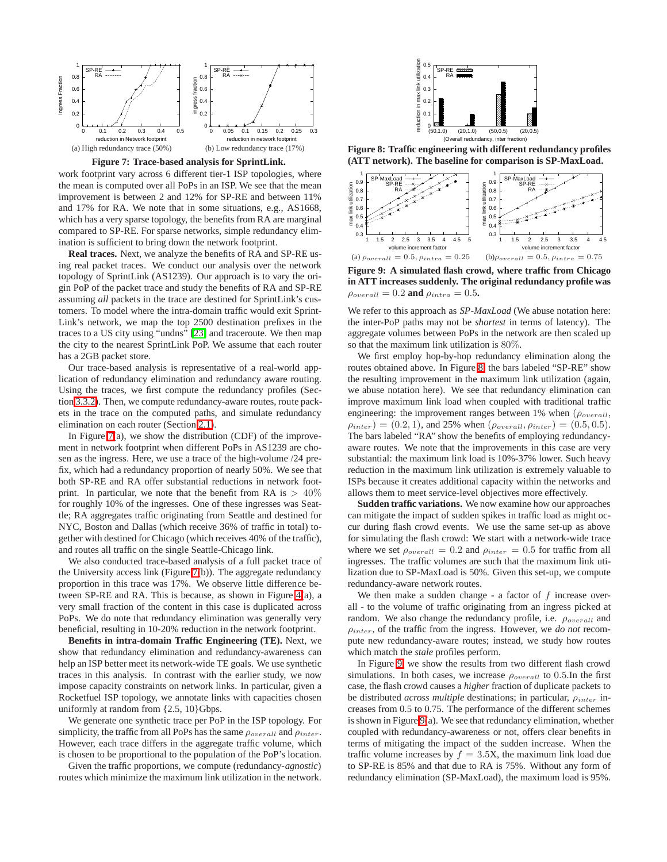



<span id="page-7-0"></span>work footprint vary across 6 different tier-1 ISP topologies, where the mean is computed over all PoPs in an ISP. We see that the mean improvement is between 2 and 12% for SP-RE and between 11% and 17% for RA. We note that in some situations, e.g., AS1668, which has a very sparse topology, the benefits from RA are marginal compared to SP-RE. For sparse networks, simple redundancy elimination is sufficient to bring down the network footprint.

**Real traces.** Next, we analyze the benefits of RA and SP-RE using real packet traces. We conduct our analysis over the network topology of SprintLink (AS1239). Our approach is to vary the origin PoP of the packet trace and study the benefits of RA and SP-RE assuming *all* packets in the trace are destined for SprintLink's customers. To model where the intra-domain traffic would exit Sprint-Link's network, we map the top 2500 destination prefixes in the traces to a US city using "undns" [\[23\]](#page-11-21) and traceroute. We then map the city to the nearest SprintLink PoP. We assume that each router has a 2GB packet store.

Our trace-based analysis is representative of a real-world application of redundancy elimination and redundancy aware routing. Using the traces, we first compute the redundancy profiles (Section [3.3.2\)](#page-4-1). Then, we compute redundancy-aware routes, route packets in the trace on the computed paths, and simulate redundancy elimination on each router (Section [2.1\)](#page-1-3).

In Figure  $7(a)$ , we show the distribution (CDF) of the improvement in network footprint when different PoPs in AS1239 are chosen as the ingress. Here, we use a trace of the high-volume /24 prefix, which had a redundancy proportion of nearly 50%. We see that both SP-RE and RA offer substantial reductions in network footprint. In particular, we note that the benefit from RA is  $> 40\%$ for roughly 10% of the ingresses. One of these ingresses was Seattle; RA aggregates traffic originating from Seattle and destined for NYC, Boston and Dallas (which receive 36% of traffic in total) together with destined for Chicago (which receives 40% of the traffic), and routes all traffic on the single Seattle-Chicago link.

We also conducted trace-based analysis of a full packet trace of the University access link (Figure [7\(](#page-7-0)b)). The aggregate redundancy proportion in this trace was 17%. We observe little difference between SP-RE and RA. This is because, as shown in Figure [4\(](#page-5-3)a), a very small fraction of the content in this case is duplicated across PoPs. We do note that redundancy elimination was generally very beneficial, resulting in 10-20% reduction in the network footprint.

**Benefits in intra-domain Traffic Engineering (TE).** Next, we show that redundancy elimination and redundancy-awareness can help an ISP better meet its network-wide TE goals. We use synthetic traces in this analysis. In contrast with the earlier study, we now impose capacity constraints on network links. In particular, given a Rocketfuel ISP topology, we annotate links with capacities chosen uniformly at random from {2.5, 10}Gbps.

We generate one synthetic trace per PoP in the ISP topology. For simplicity, the traffic from all PoPs has the same  $\rho_{overall}$  and  $\rho_{inter}$ . However, each trace differs in the aggregate traffic volume, which is chosen to be proportional to the population of the PoP's location.

Given the traffic proportions, we compute (redundancy-*agnostic*) routes which minimize the maximum link utilization in the network.



<span id="page-7-1"></span>**Figure 8: Traffic engineering with different redundancy profiles (ATT network). The baseline for comparison is SP-MaxLoad.**



<span id="page-7-2"></span>**Figure 9: A simulated flash crowd, where traffic from Chicago in ATT increases suddenly. The original redundancy profile was**  $\rho_{overall} = 0.2$  **and**  $\rho_{intra} = 0.5$ .

We refer to this approach as *SP-MaxLoad* (We abuse notation here: the inter-PoP paths may not be *shortest* in terms of latency). The aggregate volumes between PoPs in the network are then scaled up so that the maximum link utilization is 80%.

We first employ hop-by-hop redundancy elimination along the routes obtained above. In Figure [8,](#page-7-1) the bars labeled "SP-RE" show the resulting improvement in the maximum link utilization (again, we abuse notation here). We see that redundancy elimination can improve maximum link load when coupled with traditional traffic engineering: the improvement ranges between 1% when  $(\rho_{overall},$  $\rho_{inter}$  = (0.2, 1), and 25% when  $(\rho_{overall}, \rho_{inter})$  = (0.5, 0.5). The bars labeled "RA" show the benefits of employing redundancyaware routes. We note that the improvements in this case are very substantial: the maximum link load is 10%-37% lower. Such heavy reduction in the maximum link utilization is extremely valuable to ISPs because it creates additional capacity within the networks and allows them to meet service-level objectives more effectively.

**Sudden traffic variations.** We now examine how our approaches can mitigate the impact of sudden spikes in traffic load as might occur during flash crowd events. We use the same set-up as above for simulating the flash crowd: We start with a network-wide trace where we set  $\rho_{overall} = 0.2$  and  $\rho_{inter} = 0.5$  for traffic from all ingresses. The traffic volumes are such that the maximum link utilization due to SP-MaxLoad is 50%. Given this set-up, we compute redundancy-aware network routes.

We then make a sudden change - a factor of  $f$  increase overall - to the volume of traffic originating from an ingress picked at random. We also change the redundancy profile, i.e.  $\rho_{overall}$  and  $\rho_{inter}$ , of the traffic from the ingress. However, we *do not* recompute new redundancy-aware routes; instead, we study how routes which match the *stale* profiles perform.

In Figure [9,](#page-7-2) we show the results from two different flash crowd simulations. In both cases, we increase  $\rho_{overall}$  to 0.5.In the first case, the flash crowd causes a *higher* fraction of duplicate packets to be distributed *across multiple* destinations; in particular,  $\rho_{inter}$  increases from 0.5 to 0.75. The performance of the different schemes is shown in Figure [9\(](#page-7-2)a). We see that redundancy elimination, whether coupled with redundancy-awareness or not, offers clear benefits in terms of mitigating the impact of the sudden increase. When the traffic volume increases by  $f = 3.5X$ , the maximum link load due to SP-RE is 85% and that due to RA is 75%. Without any form of redundancy elimination (SP-MaxLoad), the maximum load is 95%.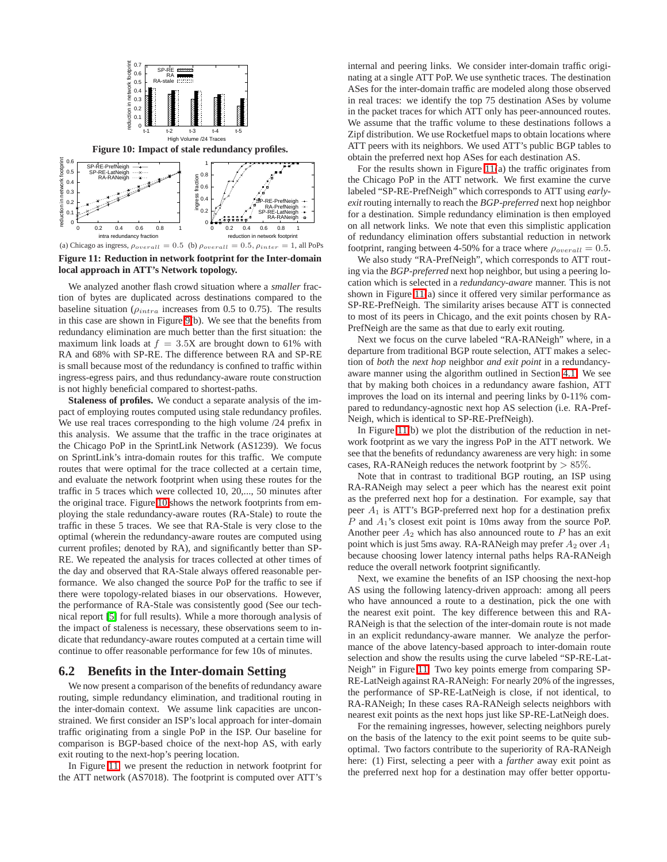<span id="page-8-0"></span>

<span id="page-8-1"></span>**Figure 11: Reduction in network footprint for the Inter-domain local approach in ATT's Network topology.**

We analyzed another flash crowd situation where a *smaller* fraction of bytes are duplicated across destinations compared to the baseline situation ( $\rho_{intra}$  increases from 0.5 to 0.75). The results in this case are shown in Figure [9\(](#page-7-2)b). We see that the benefits from redundancy elimination are much better than the first situation: the maximum link loads at  $f = 3.5X$  are brought down to 61% with RA and 68% with SP-RE. The difference between RA and SP-RE is small because most of the redundancy is confined to traffic within ingress-egress pairs, and thus redundancy-aware route construction is not highly beneficial compared to shortest-paths.

**Staleness of profiles.** We conduct a separate analysis of the impact of employing routes computed using stale redundancy profiles. We use real traces corresponding to the high volume /24 prefix in this analysis. We assume that the traffic in the trace originates at the Chicago PoP in the SprintLink Network (AS1239). We focus on SprintLink's intra-domain routes for this traffic. We compute routes that were optimal for the trace collected at a certain time, and evaluate the network footprint when using these routes for the traffic in 5 traces which were collected 10, 20,..., 50 minutes after the original trace. Figure [10](#page-8-0) shows the network footprints from employing the stale redundancy-aware routes (RA-Stale) to route the traffic in these 5 traces. We see that RA-Stale is very close to the optimal (wherein the redundancy-aware routes are computed using current profiles; denoted by RA), and significantly better than SP-RE. We repeated the analysis for traces collected at other times of the day and observed that RA-Stale always offered reasonable performance. We also changed the source PoP for the traffic to see if there were topology-related biases in our observations. However, the performance of RA-Stale was consistently good (See our technical report [\[5\]](#page-11-20) for full results). While a more thorough analysis of the impact of staleness is necessary, these observations seem to indicate that redundancy-aware routes computed at a certain time will continue to offer reasonable performance for few 10s of minutes.

## **6.2 Benefits in the Inter-domain Setting**

We now present a comparison of the benefits of redundancy aware routing, simple redundancy elimination, and traditional routing in the inter-domain context. We assume link capacities are unconstrained. We first consider an ISP's local approach for inter-domain traffic originating from a single PoP in the ISP. Our baseline for comparison is BGP-based choice of the next-hop AS, with early exit routing to the next-hop's peering location.

In Figure [11,](#page-8-1) we present the reduction in network footprint for the ATT network (AS7018). The footprint is computed over ATT's internal and peering links. We consider inter-domain traffic originating at a single ATT PoP. We use synthetic traces. The destination ASes for the inter-domain traffic are modeled along those observed in real traces: we identify the top 75 destination ASes by volume in the packet traces for which ATT only has peer-announced routes. We assume that the traffic volume to these destinations follows a Zipf distribution. We use Rocketfuel maps to obtain locations where ATT peers with its neighbors. We used ATT's public BGP tables to obtain the preferred next hop ASes for each destination AS.

For the results shown in Figure [11\(](#page-8-1)a) the traffic originates from the Chicago PoP in the ATT network. We first examine the curve labeled "SP-RE-PrefNeigh" which corresponds to ATT using *earlyexit* routing internally to reach the *BGP-preferred* next hop neighbor for a destination. Simple redundancy elimination is then employed on all network links. We note that even this simplistic application of redundancy elimination offers substantial reduction in network footprint, ranging between 4-50% for a trace where  $\rho_{overall} = 0.5$ .

We also study "RA-PrefNeigh", which corresponds to ATT routing via the *BGP-preferred* next hop neighbor, but using a peering location which is selected in a *redundancy-aware* manner. This is not shown in Figure [11\(](#page-8-1)a) since it offered very similar performance as SP-RE-PrefNeigh. The similarity arises because ATT is connected to most of its peers in Chicago, and the exit points chosen by RA-PrefNeigh are the same as that due to early exit routing.

Next we focus on the curve labeled "RA-RANeigh" where, in a departure from traditional BGP route selection, ATT makes a selection of *both* the *next hop* neighbor *and exit point* in a redundancyaware manner using the algorithm outlined in Section [4.1.](#page-4-2) We see that by making both choices in a redundancy aware fashion, ATT improves the load on its internal and peering links by 0-11% compared to redundancy-agnostic next hop AS selection (i.e. RA-Pref-Neigh, which is identical to SP-RE-PrefNeigh).

In Figure [11\(](#page-8-1)b) we plot the distribution of the reduction in network footprint as we vary the ingress PoP in the ATT network. We see that the benefits of redundancy awareness are very high: in some cases, RA-RANeigh reduces the network footprint by  $> 85\%$ .

Note that in contrast to traditional BGP routing, an ISP using RA-RANeigh may select a peer which has the nearest exit point as the preferred next hop for a destination. For example, say that peer  $A_1$  is ATT's BGP-preferred next hop for a destination prefix P and A1's closest exit point is 10ms away from the source PoP. Another peer  $A_2$  which has also announced route to  $P$  has an exit point which is just 5ms away. RA-RANeigh may prefer  $A_2$  over  $A_1$ because choosing lower latency internal paths helps RA-RANeigh reduce the overall network footprint significantly.

Next, we examine the benefits of an ISP choosing the next-hop AS using the following latency-driven approach: among all peers who have announced a route to a destination, pick the one with the nearest exit point. The key difference between this and RA-RANeigh is that the selection of the inter-domain route is not made in an explicit redundancy-aware manner. We analyze the performance of the above latency-based approach to inter-domain route selection and show the results using the curve labeled "SP-RE-Lat-Neigh" in Figure [11.](#page-8-1) Two key points emerge from comparing SP-RE-LatNeigh against RA-RANeigh: For nearly 20% of the ingresses, the performance of SP-RE-LatNeigh is close, if not identical, to RA-RANeigh; In these cases RA-RANeigh selects neighbors with nearest exit points as the next hops just like SP-RE-LatNeigh does.

For the remaining ingresses, however, selecting neighbors purely on the basis of the latency to the exit point seems to be quite suboptimal. Two factors contribute to the superiority of RA-RANeigh here: (1) First, selecting a peer with a *farther* away exit point as the preferred next hop for a destination may offer better opportu-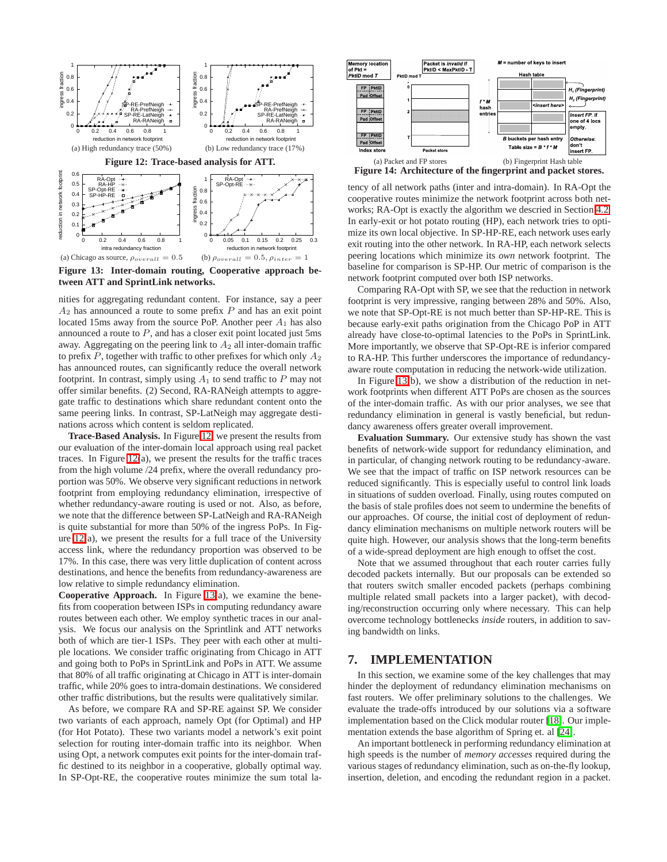<span id="page-9-1"></span>

<span id="page-9-2"></span>**Figure 13: Inter-domain routing, Cooperative approach between ATT and SprintLink networks.**

nities for aggregating redundant content. For instance, say a peer  $A_2$  has announced a route to some prefix  $P$  and has an exit point located 15ms away from the source PoP. Another peer  $A_1$  has also announced a route to  $P$ , and has a closer exit point located just 5ms away. Aggregating on the peering link to  $A_2$  all inter-domain traffic to prefix  $P$ , together with traffic to other prefixes for which only  $A_2$ has announced routes, can significantly reduce the overall network footprint. In contrast, simply using  $A_1$  to send traffic to P may not offer similar benefits. (2) Second, RA-RANeigh attempts to aggregate traffic to destinations which share redundant content onto the same peering links. In contrast, SP-LatNeigh may aggregate destinations across which content is seldom replicated.

**Trace-Based Analysis.** In Figure [12,](#page-9-1) we present the results from our evaluation of the inter-domain local approach using real packet traces. In Figure [12\(](#page-9-1)a), we present the results for the traffic traces from the high volume /24 prefix, where the overall redundancy proportion was 50%. We observe very significant reductions in network footprint from employing redundancy elimination, irrespective of whether redundancy-aware routing is used or not. Also, as before, we note that the difference between SP-LatNeigh and RA-RANeigh is quite substantial for more than 50% of the ingress PoPs. In Figure [12\(](#page-9-1)a), we present the results for a full trace of the University access link, where the redundancy proportion was observed to be 17%. In this case, there was very little duplication of content across destinations, and hence the benefits from redundancy-awareness are low relative to simple redundancy elimination.

**Cooperative Approach.** In Figure [13\(](#page-9-2)a), we examine the benefits from cooperation between ISPs in computing redundancy aware routes between each other. We employ synthetic traces in our analysis. We focus our analysis on the Sprintlink and ATT networks both of which are tier-1 ISPs. They peer with each other at multiple locations. We consider traffic originating from Chicago in ATT and going both to PoPs in SprintLink and PoPs in ATT. We assume that 80% of all traffic originating at Chicago in ATT is inter-domain traffic, while 20% goes to intra-domain destinations. We considered other traffic distributions, but the results were qualitatively similar.

As before, we compare RA and SP-RE against SP. We consider two variants of each approach, namely Opt (for Optimal) and HP (for Hot Potato). These two variants model a network's exit point selection for routing inter-domain traffic into its neighbor. When using Opt, a network computes exit points for the inter-domain traffic destined to its neighbor in a cooperative, globally optimal way. In SP-Opt-RE, the cooperative routes minimize the sum total la-



<span id="page-9-3"></span>**Figure 14: Architecture of the fingerprint and packet stores.**

tency of all network paths (inter and intra-domain). In RA-Opt the cooperative routes minimize the network footprint across both networks; RA-Opt is exactly the algorithm we descried in Section [4.2.](#page-5-4) In early-exit or hot potato routing (HP), each network tries to optimize its own local objective. In SP-HP-RE, each network uses early exit routing into the other network. In RA-HP, each network selects peering locations which minimize its *own* network footprint. The baseline for comparison is SP-HP. Our metric of comparison is the network footprint computed over both ISP networks.

Comparing RA-Opt with SP, we see that the reduction in network footprint is very impressive, ranging between 28% and 50%. Also, we note that SP-Opt-RE is not much better than SP-HP-RE. This is because early-exit paths origination from the Chicago PoP in ATT already have close-to-optimal latencies to the PoPs in SprintLink. More importantly, we observe that SP-Opt-RE is inferior compared to RA-HP. This further underscores the importance of redundancyaware route computation in reducing the network-wide utilization.

In Figure [13\(](#page-9-2)b), we show a distribution of the reduction in network footprints when different ATT PoPs are chosen as the sources of the inter-domain traffic. As with our prior analyses, we see that redundancy elimination in general is vastly beneficial, but redundancy awareness offers greater overall improvement.

**Evaluation Summary.** Our extensive study has shown the vast benefits of network-wide support for redundancy elimination, and in particular, of changing network routing to be redundancy-aware. We see that the impact of traffic on ISP network resources can be reduced significantly. This is especially useful to control link loads in situations of sudden overload. Finally, using routes computed on the basis of stale profiles does not seem to undermine the benefits of our approaches. Of course, the initial cost of deployment of redundancy elimination mechanisms on multiple network routers will be quite high. However, our analysis shows that the long-term benefits of a wide-spread deployment are high enough to offset the cost.

Note that we assumed throughout that each router carries fully decoded packets internally. But our proposals can be extended so that routers switch smaller encoded packets (perhaps combining multiple related small packets into a larger packet), with decoding/reconstruction occurring only where necessary. This can help overcome technology bottlenecks *inside* routers, in addition to saving bandwidth on links.

# <span id="page-9-0"></span>**7. IMPLEMENTATION**

In this section, we examine some of the key challenges that may hinder the deployment of redundancy elimination mechanisms on fast routers. We offer preliminary solutions to the challenges. We evaluate the trade-offs introduced by our solutions via a software implementation based on the Click modular router [\[18\]](#page-11-9). Our implementation extends the base algorithm of Spring et. al [\[24\]](#page-11-6).

An important bottleneck in performing redundancy elimination at high speeds is the number of *memory accesses* required during the various stages of redundancy elimination, such as on-the-fly lookup, insertion, deletion, and encoding the redundant region in a packet.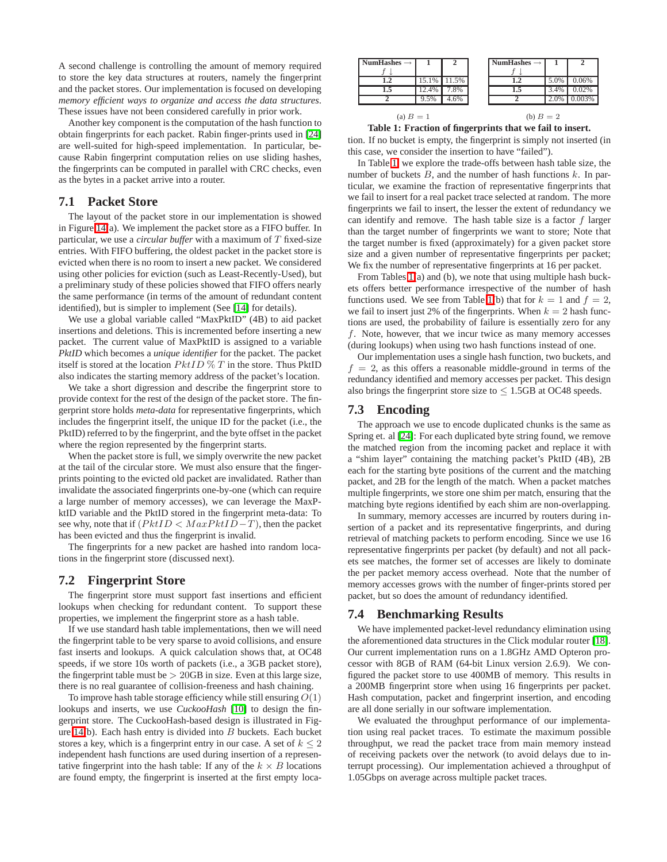A second challenge is controlling the amount of memory required to store the key data structures at routers, namely the fingerprint and the packet stores. Our implementation is focused on developing *memory efficient ways to organize and access the data structures*. These issues have not been considered carefully in prior work.

Another key component is the computation of the hash function to obtain fingerprints for each packet. Rabin finger-prints used in [\[24\]](#page-11-6) are well-suited for high-speed implementation. In particular, because Rabin fingerprint computation relies on use sliding hashes, the fingerprints can be computed in parallel with CRC checks, even as the bytes in a packet arrive into a router.

# **7.1 Packet Store**

The layout of the packet store in our implementation is showed in Figure [14\(](#page-9-3)a). We implement the packet store as a FIFO buffer. In particular, we use a *circular buffer* with a maximum of T fixed-size entries. With FIFO buffering, the oldest packet in the packet store is evicted when there is no room to insert a new packet. We considered using other policies for eviction (such as Least-Recently-Used), but a preliminary study of these policies showed that FIFO offers nearly the same performance (in terms of the amount of redundant content identified), but is simpler to implement (See [\[14\]](#page-11-23) for details).

We use a global variable called "MaxPktID" (4B) to aid packet insertions and deletions. This is incremented before inserting a new packet. The current value of MaxPktID is assigned to a variable *PktID* which becomes a *unique identifier* for the packet. The packet itself is stored at the location  $PktID \% T$  in the store. Thus PktID also indicates the starting memory address of the packet's location.

We take a short digression and describe the fingerprint store to provide context for the rest of the design of the packet store. The fingerprint store holds *meta-data* for representative fingerprints, which includes the fingerprint itself, the unique ID for the packet (i.e., the PktID) referred to by the fingerprint, and the byte offset in the packet where the region represented by the fingerprint starts.

When the packet store is full, we simply overwrite the new packet at the tail of the circular store. We must also ensure that the fingerprints pointing to the evicted old packet are invalidated. Rather than invalidate the associated fingerprints one-by-one (which can require a large number of memory accesses), we can leverage the MaxPktID variable and the PktID stored in the fingerprint meta-data: To see why, note that if  $(PktID < MaxPktID-T)$ , then the packet has been evicted and thus the fingerprint is invalid.

The fingerprints for a new packet are hashed into random locations in the fingerprint store (discussed next).

# **7.2 Fingerprint Store**

The fingerprint store must support fast insertions and efficient lookups when checking for redundant content. To support these properties, we implement the fingerprint store as a hash table.

If we use standard hash table implementations, then we will need the fingerprint table to be very sparse to avoid collisions, and ensure fast inserts and lookups. A quick calculation shows that, at OC48 speeds, if we store 10s worth of packets (i.e., a 3GB packet store), the fingerprint table must be  $> 20$ GB in size. Even at this large size, there is no real guarantee of collision-freeness and hash chaining.

To improve hash table storage efficiency while still ensuring  $O(1)$ lookups and inserts, we use *CuckooHash* [\[10\]](#page-11-24) to design the fingerprint store. The CuckooHash-based design is illustrated in Figure  $14(b)$ . Each hash entry is divided into  $B$  buckets. Each bucket stores a key, which is a fingerprint entry in our case. A set of  $k \leq 2$ independent hash functions are used during insertion of a representative fingerprint into the hash table: If any of the  $k \times B$  locations are found empty, the fingerprint is inserted at the first empty loca-

| NumHashes $\rightarrow$ |         |      | NumHashes $\rightarrow$ |      |       |
|-------------------------|---------|------|-------------------------|------|-------|
|                         |         |      |                         |      |       |
|                         | 5.1%    | 1.5% |                         | 5.0% | 0.06% |
|                         | $2.4\%$ | 8%   |                         | 3.4% | .02%  |
|                         | .5%     | 1.6% |                         | 2.0% |       |

(a)  $B = 1$  (b)  $B = 2$ **Table 1: Fraction of fingerprints that we fail to insert.**

<span id="page-10-0"></span>tion. If no bucket is empty, the fingerprint is simply not inserted (in this case, we consider the insertion to have "failed").

In Table [1,](#page-10-0) we explore the trade-offs between hash table size, the number of buckets  $B$ , and the number of hash functions  $k$ . In particular, we examine the fraction of representative fingerprints that we fail to insert for a real packet trace selected at random. The more fingerprints we fail to insert, the lesser the extent of redundancy we can identify and remove. The hash table size is a factor  $f$  larger than the target number of fingerprints we want to store; Note that the target number is fixed (approximately) for a given packet store size and a given number of representative fingerprints per packet; We fix the number of representative fingerprints at 16 per packet.

From Tables [1\(](#page-10-0)a) and (b), we note that using multiple hash buckets offers better performance irrespective of the number of hash functions used. We see from Table [1\(](#page-10-0)b) that for  $k = 1$  and  $f = 2$ , we fail to insert just 2% of the fingerprints. When  $k = 2$  hash functions are used, the probability of failure is essentially zero for any f. Note, however, that we incur twice as many memory accesses (during lookups) when using two hash functions instead of one.

Our implementation uses a single hash function, two buckets, and  $f = 2$ , as this offers a reasonable middle-ground in terms of the redundancy identified and memory accesses per packet. This design also brings the fingerprint store size to  $\leq$  1.5GB at OC48 speeds.

# **7.3 Encoding**

The approach we use to encode duplicated chunks is the same as Spring et. al [\[24\]](#page-11-6): For each duplicated byte string found, we remove the matched region from the incoming packet and replace it with a "shim layer" containing the matching packet's PktID (4B), 2B each for the starting byte positions of the current and the matching packet, and 2B for the length of the match. When a packet matches multiple fingerprints, we store one shim per match, ensuring that the matching byte regions identified by each shim are non-overlapping.

In summary, memory accesses are incurred by routers during insertion of a packet and its representative fingerprints, and during retrieval of matching packets to perform encoding. Since we use 16 representative fingerprints per packet (by default) and not all packets see matches, the former set of accesses are likely to dominate the per packet memory access overhead. Note that the number of memory accesses grows with the number of finger-prints stored per packet, but so does the amount of redundancy identified.

## **7.4 Benchmarking Results**

We have implemented packet-level redundancy elimination using the aforementioned data structures in the Click modular router [\[18\]](#page-11-9). Our current implementation runs on a 1.8GHz AMD Opteron processor with 8GB of RAM (64-bit Linux version 2.6.9). We configured the packet store to use 400MB of memory. This results in a 200MB fingerprint store when using 16 fingerprints per packet. Hash computation, packet and fingerprint insertion, and encoding are all done serially in our software implementation.

We evaluated the throughput performance of our implementation using real packet traces. To estimate the maximum possible throughput, we read the packet trace from main memory instead of receiving packets over the network (to avoid delays due to interrupt processing). Our implementation achieved a throughput of 1.05Gbps on average across multiple packet traces.